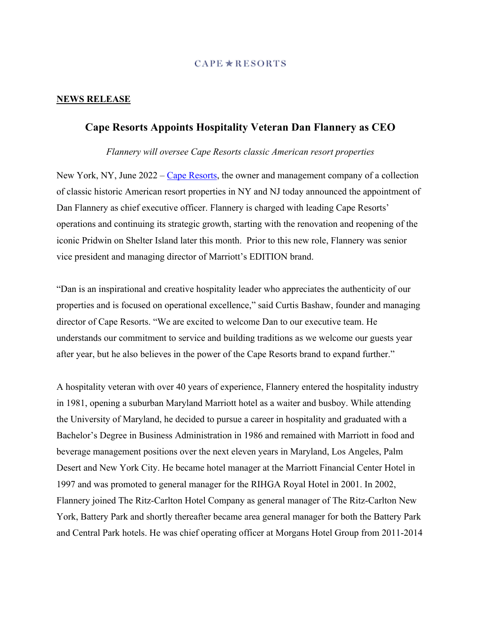### $CAPE \star RESORTS$

## **NEWS RELEASE**

# **Cape Resorts Appoints Hospitality Veteran Dan Flannery as CEO**

*Flannery will oversee Cape Resorts classic American resort properties* 

New York, NY, June 2022 – Cape Resorts, the owner and management company of a collection of classic historic American resort properties in NY and NJ today announced the appointment of Dan Flannery as chief executive officer. Flannery is charged with leading Cape Resorts' operations and continuing its strategic growth, starting with the renovation and reopening of the iconic Pridwin on Shelter Island later this month. Prior to this new role, Flannery was senior vice president and managing director of Marriott's EDITION brand.

"Dan is an inspirational and creative hospitality leader who appreciates the authenticity of our properties and is focused on operational excellence," said Curtis Bashaw, founder and managing director of Cape Resorts. "We are excited to welcome Dan to our executive team. He understands our commitment to service and building traditions as we welcome our guests year after year, but he also believes in the power of the Cape Resorts brand to expand further."

A hospitality veteran with over 40 years of experience, Flannery entered the hospitality industry in 1981, opening a suburban Maryland Marriott hotel as a waiter and busboy. While attending the University of Maryland, he decided to pursue a career in hospitality and graduated with a Bachelor's Degree in Business Administration in 1986 and remained with Marriott in food and beverage management positions over the next eleven years in Maryland, Los Angeles, Palm Desert and New York City. He became hotel manager at the Marriott Financial Center Hotel in 1997 and was promoted to general manager for the RIHGA Royal Hotel in 2001. In 2002, Flannery joined The Ritz-Carlton Hotel Company as general manager of The Ritz-Carlton New York, Battery Park and shortly thereafter became area general manager for both the Battery Park and Central Park hotels. He was chief operating officer at Morgans Hotel Group from 2011-2014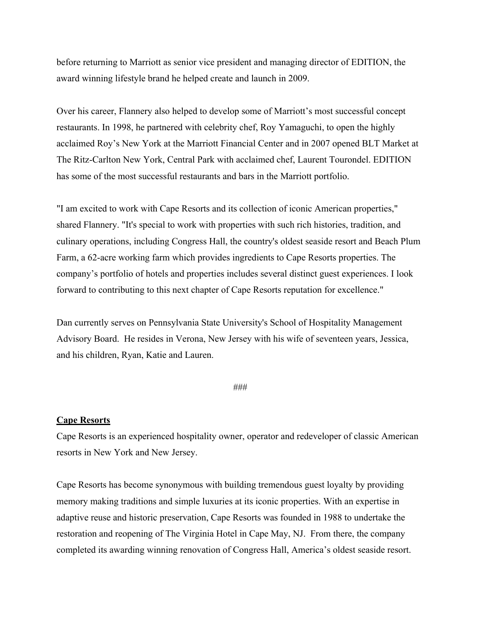before returning to Marriott as senior vice president and managing director of EDITION, the award winning lifestyle brand he helped create and launch in 2009.

Over his career, Flannery also helped to develop some of Marriott's most successful concept restaurants. In 1998, he partnered with celebrity chef, Roy Yamaguchi, to open the highly acclaimed Roy's New York at the Marriott Financial Center and in 2007 opened BLT Market at The Ritz-Carlton New York, Central Park with acclaimed chef, Laurent Tourondel. EDITION has some of the most successful restaurants and bars in the Marriott portfolio.

"I am excited to work with Cape Resorts and its collection of iconic American properties," shared Flannery. "It's special to work with properties with such rich histories, tradition, and culinary operations, including Congress Hall, the country's oldest seaside resort and Beach Plum Farm, a 62-acre working farm which provides ingredients to Cape Resorts properties. The company's portfolio of hotels and properties includes several distinct guest experiences. I look forward to contributing to this next chapter of Cape Resorts reputation for excellence."

Dan currently serves on Pennsylvania State University's School of Hospitality Management Advisory Board. He resides in Verona, New Jersey with his wife of seventeen years, Jessica, and his children, Ryan, Katie and Lauren.

### ###

## **Cape Resorts**

Cape Resorts is an experienced hospitality owner, operator and redeveloper of classic American resorts in New York and New Jersey.

Cape Resorts has become synonymous with building tremendous guest loyalty by providing memory making traditions and simple luxuries at its iconic properties. With an expertise in adaptive reuse and historic preservation, Cape Resorts was founded in 1988 to undertake the restoration and reopening of The Virginia Hotel in Cape May, NJ. From there, the company completed its awarding winning renovation of Congress Hall, America's oldest seaside resort.